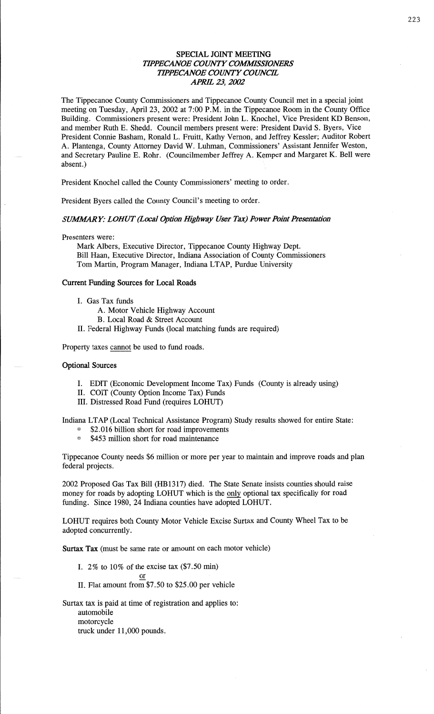## **SPECIAL** JOINT **MEETING TIPPECANOE COUNTY COMMISSIONERS** *TIPPECANOE COUNTY COUNCIL APRE* 23, *2002*

The Tippecanoe County Commissioners and Tippecanoe County Council met in a special joint meeting on Tuesday, April 23, 2002 at **7:00** P.M. in the Tippecanoe Room in the County Office Building. Commissioners present were: President John L. Knochel, Vice President KD **Benson,**  and member Ruth B. **Shedd.** Council members present were: President David S. Byers, Vice President **Connie Basham,** Ronald L. Fruitt, Kathy Vernon, and Jeffrey Kessler; Auditor Robert A. Plantenga, County Attorney David W. **Luhman, Commissioners' Assistant** Jennifer Weston, and Secretary Pauline E. Rohr. (Councilmember Jeffrey A. Kemper and Margaret K. Bell were  $\alpha$ bsent.)

President Knochel called the County Commissioners' meeting to order.

President Byers called the County Council's meeting to order.

# $SUMMARY: LOHUT (Local Option Highway User Tax) Power Point Presentation$

Presenters were:

Mark Albers, Executive Director, Tippecanoe County Highway Dept. Bill **Haan,** Executive Director, Indiana Association of County Commissioners Tom Martin, Program Manager, Indiana **LTAP,** Purdue University

### **Current Funding Sources** for Local **Roads**

- 1. Gas Tax funds
	- A. Motor Vehicle Highway Account
	- B. Local Road **&** Street Account
- 11. Federal Highway Funds (local matching funds are required)

Property **taxes** cannot be used to fund roads.

### **Optional Sources**

- I. EDIT (Economic Development Income Tax) **Funds** (County is already using)
- II. COIT (County Option Income Tax) Funds
- III. Distressed Road Fund (requires LOHUT)

Indiana **LTAP** (Local Technical Assistance Program) Study results showed for entire State:

- **EXECUTE:** S2.016 billion short for road improvements
- <sup>1</sup> \$453 million short for road maintenance

Tippecanoe County needs \$6 million or more per year to **maintain** and improve roads and **plan**  federal projects.

2002 Proposed Gas Tax Bill (HBl3l7) **died.** The State Senate insists counties should raise money for roads by adopting LOHUT which is the only optional tax specifically for road fimding. Since 1980, 24 Indiana counties have **adopted LOHUT.** 

**LOHUT** requires both County Motor Vehicle Excise **Surtax** and County Wheel Tax to be **adopted** concurrently.

**Surtax** Tax (must be same rate or amount on each motor vehicle)

- I. 2% to 10% of the excise tax **(\$7.50** min) or **change**  $\lim_{x \to 0} (\psi \cdot \psi) \cdot \lim_{x \to 0}$
- 11. Flat amount from \$7.50 to \$25.00 per vehicle

Surtax tax is paid at time of registration and applies to: automobile motorcycle truck under 11,000 pounds.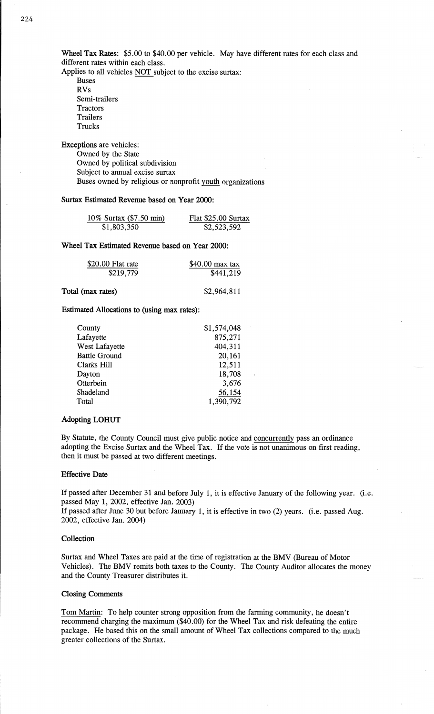Wheel Tax **Rates:** \$5.00 to \$40.00 per vehicle. May have different rates for each class and different rates within each class.

Applies to all vehicles NOT subject to the excise surtax: **Buses** 

RVs Semi-trailers Tractors Trailers Trucks

**Exceptions** are vehicles: Owned by the State Owned by political subdivision Subject to **annual** excise **surtax Buses** owned by religious or nonprofit youth organizations

## **Surtax Estimated Revenue based** on **Year 2000:**

| 10% Surtax (\$7.50 min) | Flat \$25.00 Surtax |
|-------------------------|---------------------|
| \$1,803,350             | \$2,523,592         |

## **Wheel** Tax **Estimated Revenue based** on **Year 2000:**

| \$20.00 Flat rate | $$40.00$ max tax |
|-------------------|------------------|
| \$219,779         | \$441,219        |

**Estimated Allocations** to **(using** max **rates):** 

| County               | \$1,574,048 |
|----------------------|-------------|
| Lafayette            | 875,271     |
| West Lafayette       | 404,311     |
| <b>Battle Ground</b> | 20,161      |
| Clarks Hill          | 12,511      |
| Dayton               | 18,708      |
| Otterbein            | 3,676       |
| Shadeland            | 56,154      |
| Total                | 1,390,792   |

## **Adopting LOHUT**

By Statute, the County Council must give public notice and **concurrently** pass an ordinance adopting the Excise **Surtax** and the Wheel **Tax.** If the vote is not **unanimous** on **first** reading, then it must be passed at two **different meetings.** 

#### **Effective Date**

If passed after December 31 and before July 1, it is effective January of the **following** year. (i.e. passed May 1, 2002, effective Jan. 2003)

If passed after June 30 but before January 1, it is **effective** in two (2) **years. (i.e.** passed Aug. 2002, effective Jan. 2004)

### **Collection**

Surtax and Wheel **Taxes** are paid at the **time** of registration at the BMV (Bureau of **Motor**  Vehicles). The BMV remits **both taxes** to the County. The County **Auditor** allocates the money and the County Treasurer distributes it.

#### **Closing Comments**

Tom Martin: To help counter strong **opposition from** the farming community, he doesn't recommend charging the **maximum** (\$40.00) for the Wheel Tax and **risk defeating** the **entire package.** He based this on the small **amount** of Wheel Tax **collections** compared to the much greater collections of the **Surtax.**